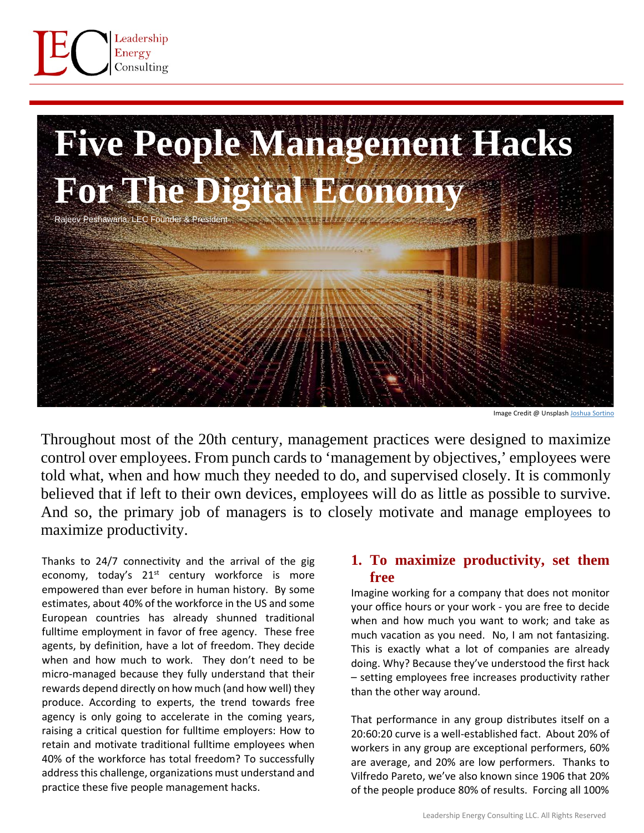

# **Five People Management Hacks For The Digital Eco** Rajeev Peshawaria, LEC Founder & President and Society Apple 11 11 11 12 20

Image Credit @ Unsplas[h Joshua Sortino](https://unsplash.com/@sortino?utm_source=unsplash&utm_medium=referral&utm_content=creditCopyText)

Throughout most of the 20th century, management practices were designed to maximize control over employees. From punch cards to 'management by objectives,' employees were told what, when and how much they needed to do, and supervised closely. It is commonly believed that if left to their own devices, employees will do as little as possible to survive. And so, the primary job of managers is to closely motivate and manage employees to maximize productivity.

Thanks to 24/7 connectivity and the arrival of the gig economy, today's  $21^{st}$  century workforce is more empowered than ever before in human history. By some estimates, about 40% of the workforce in the US and some European countries has already shunned traditional fulltime employment in favor of free agency. These free agents, by definition, have a lot of freedom. They decide when and how much to work. They don't need to be micro-managed because they fully understand that their rewards depend directly on how much (and how well) they produce. According to experts, the trend towards free agency is only going to accelerate in the coming years, raising a critical question for fulltime employers: How to retain and motivate traditional fulltime employees when 40% of the workforce has total freedom? To successfully address this challenge, organizations must understand and practice these five people management hacks.

## **1. To maximize productivity, set them free**

Imagine working for a company that does not monitor your office hours or your work - you are free to decide when and how much you want to work; and take as much vacation as you need. No, I am not fantasizing. This is exactly what a lot of companies are already doing. Why? Because they've understood the first hack – setting employees free increases productivity rather than the other way around.

That performance in any group distributes itself on a 20:60:20 curve is a well-established fact. About 20% of workers in any group are exceptional performers, 60% are average, and 20% are low performers. Thanks to Vilfredo Pareto, we've also known since 1906 that 20% of the people produce 80% of results. Forcing all 100%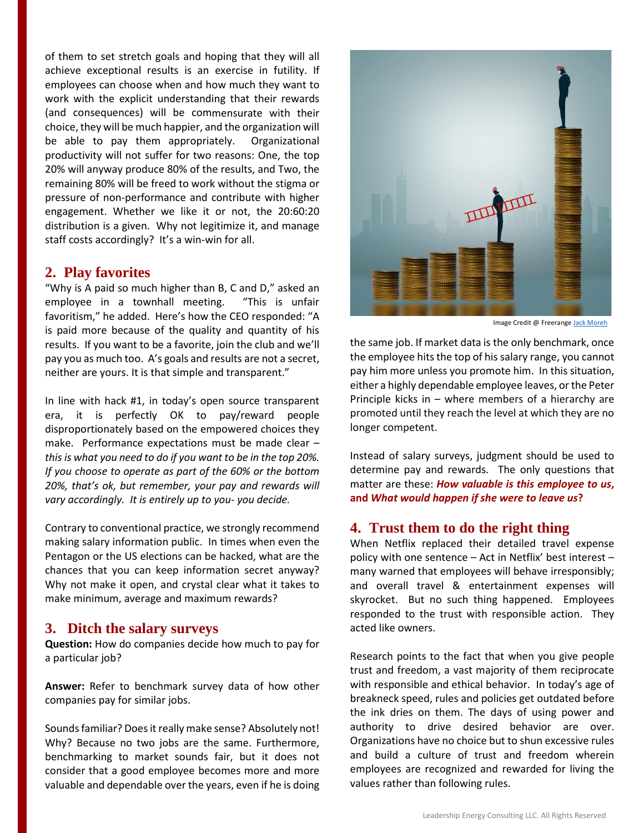of them to set stretch goals and hoping that they will all achieve exceptional results is an exercise in futility. If employees can choose when and how much they want to work with the explicit understanding that their rewards (and consequences) will be commensurate with their choice, they will be much happier, and the organization will be able to pay them appropriately. Organizational productivity will not suffer for two reasons: One, the top 20% will anyway produce 80% of the results, and Two, the remaining 80% will be freed to work without the stigma or pressure of non-performance and contribute with higher engagement. Whether we like it or not, the 20:60:20 distribution is a given. Why not legitimize it, and manage staff costs accordingly? It's a win-win for all.

#### **2. Play favorites**

"Why is A paid so much higher than B, C and D," asked an employee in a townhall meeting. "This is unfair favoritism," he added. Here's how the CEO responded: "A is paid more because of the quality and quantity of his results. If you want to be a favorite, join the club and we'll pay you as much too. A's goals and results are not a secret, neither are yours. It is that simple and transparent."

In line with hack #1, in today's open source transparent era, it is perfectly OK to pay/reward people disproportionately based on the empowered choices they make. Performance expectations must be made clear – *this is what you need to do if you want to be in the top 20%. If you choose to operate as part of the 60% or the bottom 20%, that's ok, but remember, your pay and rewards will vary accordingly. It is entirely up to you- you decide.*

Contrary to conventional practice, we strongly recommend making salary information public. In times when even the Pentagon or the US elections can be hacked, what are the chances that you can keep information secret anyway? Why not make it open, and crystal clear what it takes to make minimum, average and maximum rewards?

#### **3. Ditch the salary surveys**

**Question:** How do companies decide how much to pay for a particular job?

**Answer:** Refer to benchmark survey data of how other companies pay for similar jobs.

Sounds familiar? Does it really make sense? Absolutely not! Why? Because no two jobs are the same. Furthermore, benchmarking to market sounds fair, but it does not consider that a good employee becomes more and more valuable and dependable over the years, even if he is doing



Image Credit @ Freerang[e Jack Moreh](https://freerangestock.com/photos/39896/the-wealthy-and-the-others--income-inequality-concept.html)

the same job. If market data is the only benchmark, once the employee hits the top of his salary range, you cannot pay him more unless you promote him. In this situation, either a highly dependable employee leaves, or the Peter Principle kicks in – where members of a hierarchy are promoted until they reach the level at which they are no longer competent.

Instead of salary surveys, judgment should be used to determine pay and rewards. The only questions that matter are these: *How valuable is this employee to us***, and** *What would happen if she were to leave us***?**

### **4. Trust them to do the right thing**

When Netflix replaced their detailed travel expense policy with one sentence – Act in Netflix' best interest – many warned that employees will behave irresponsibly; and overall travel & entertainment expenses will skyrocket. But no such thing happened. Employees responded to the trust with responsible action. They acted like owners.

Research points to the fact that when you give people trust and freedom, a vast majority of them reciprocate with responsible and ethical behavior. In today's age of breakneck speed, rules and policies get outdated before the ink dries on them. The days of using power and authority to drive desired behavior are over. Organizations have no choice but to shun excessive rules and build a culture of trust and freedom wherein employees are recognized and rewarded for living the values rather than following rules.